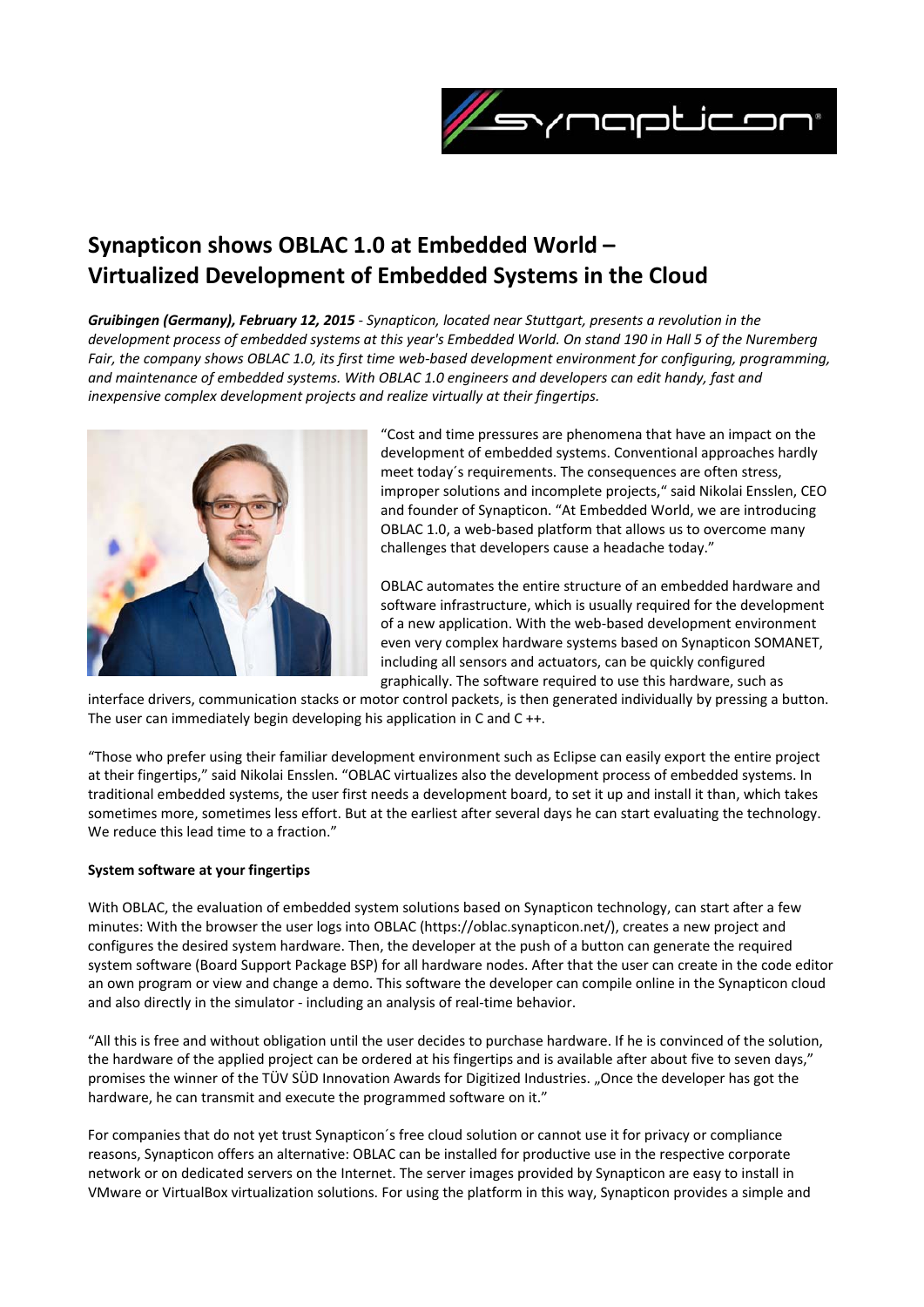

# **Synapticon shows OBLAC 1.0 at Embedded World – Virtualized Development of Embedded Systems in the Cloud**

*Gruibingen (Germany), February 12, 2015 ‐ Synapticon, located near Stuttgart, presents a revolution in the* development process of embedded systems at this year's Embedded World. On stand 190 in Hall 5 of the Nuremberg Fair, the company shows OBLAC 1.0, its first time web-based development environment for configuring, programming, *and maintenance of embedded systems. With OBLAC 1.0 engineers and developers can edit handy, fast and inexpensive complex development projects and realize virtually at their fingertips.*



"Cost and time pressures are phenomena that have an impact on the development of embedded systems. Conventional approaches hardly meet today´s requirements. The consequences are often stress, improper solutions and incomplete projects," said Nikolai Ensslen, CEO and founder of Synapticon. "At Embedded World, we are introducing OBLAC 1.0, a web‐based platform that allows us to overcome many challenges that developers cause a headache today."

OBLAC automates the entire structure of an embedded hardware and software infrastructure, which is usually required for the development of a new application. With the web‐based development environment even very complex hardware systems based on Synapticon SOMANET, including all sensors and actuators, can be quickly configured graphically. The software required to use this hardware, such as

interface drivers, communication stacks or motor control packets, is then generated individually by pressing a button. The user can immediately begin developing his application in C and C ++.

"Those who prefer using their familiar development environment such as Eclipse can easily export the entire project at their fingertips," said Nikolai Ensslen. "OBLAC virtualizes also the development process of embedded systems. In traditional embedded systems, the user first needs a development board, to set it up and install it than, which takes sometimes more, sometimes less effort. But at the earliest after several days he can start evaluating the technology. We reduce this lead time to a fraction."

## **System software at your fingertips**

With OBLAC, the evaluation of embedded system solutions based on Synapticon technology, can start after a few minutes: With the browser the user logs into OBLAC (https://oblac.synapticon.net/), creates a new project and configures the desired system hardware. Then, the developer at the push of a button can generate the required system software (Board Support Package BSP) for all hardware nodes. After that the user can create in the code editor an own program or view and change a demo. This software the developer can compile online in the Synapticon cloud and also directly in the simulator - including an analysis of real-time behavior.

"All this is free and without obligation until the user decides to purchase hardware. If he is convinced of the solution, the hardware of the applied project can be ordered at his fingertips and is available after about five to seven days," promises the winner of the TÜV SÜD Innovation Awards for Digitized Industries. "Once the developer has got the hardware, he can transmit and execute the programmed software on it."

For companies that do not yet trust Synapticon´s free cloud solution or cannot use it for privacy or compliance reasons, Synapticon offers an alternative: OBLAC can be installed for productive use in the respective corporate network or on dedicated servers on the Internet. The server images provided by Synapticon are easy to install in VMware or VirtualBox virtualization solutions. For using the platform in this way, Synapticon provides a simple and